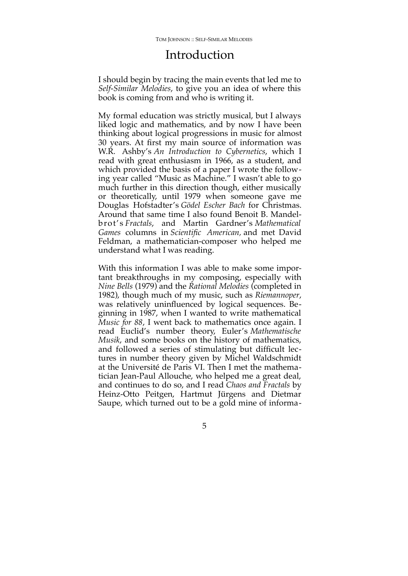## Introduction

I should begin by tracing the main events that led me to *Self-Similar Melodies*, to give you an idea of where this book is coming from and who is writing it.

My formal education was strictly musical, but I always liked logic and mathematics, and by now I have been thinking about logical progressions in music for almost 30 years. At first my main source of information was W.R. Ashby's *[An Introduction to Cybernetics](http://pespmc1.vub.ac.be/ASHBBOOK.html)*, which I read with great enthusiasm in 1966, as a student, and which provided the basis of a paper I wrote the following year called "Music as Machine." I wasn't able to go much further in this direction though, either musically or theoretically, until 1979 when someone gave me Douglas Hofstadter's *[Gödel Escher Bach](http://www.amazon.com/G%C3%B6del-Escher-Bach-Eternal-Golden/dp/0465026567)* for Christmas. Around that same time I also found Benoit B. Mandelbrot's *[Fractals](http://www.amazon.com/Fractals-Dimension-Benoit-B-Mandelbrot/dp/0716704730/ref=sr_1_5?s=books&ie=UTF8&qid=1421267562&sr=1-5&keywords=Mandelbrot&pebp=1421267570006&peasin=716704730)*, and Martin Gardner's *[Mathematical](http://blogs.scientificamerican.com/guest-blog/2014/10/21/the-top-ten-martin-gardner-scientific-american-articles/)* [Games](http://blogs.scientificamerican.com/guest-blog/2014/10/21/the-top-ten-martin-gardner-scientific-american-articles/) columns in *Scientific American*, and met David Feldman, a mathematician-composer who helped me understand what I was reading.

With this information I was able to make some important breakthroughs in my composing, especially with *[Nine Bells](http://editions75.com/item/nine_bells.html)* (1979) and the *[Rational Melodies](http://editions75.com/item/rational_melodies.html)* (completed in 1982), though much of my music, such as *[Riemannoper](http://editions75.com/item/riemannoper.html)*, was relatively uninfluenced by logical sequences. Beginning in 1987, when I wanted to write mathematical *Music for 88*, I went back to mathematics once again. I read Euclid's number theory, Euler's *Mathematische Musik*, and some books on the history of mathematics, and followed a series of stimulating but difficult lectures in number theory given by Michel Waldschmidt at the Université de Paris VI. Then I met the mathematician Jean-Paul Allouche, who helped me a great deal, and continues to do so, and I read *[Chaos and Fractals](http://www.amazon.com/Chaos-Fractals-New-Frontiers-Science/dp/0387202293)* by Heinz-Otto Peitgen, Hartmut Jürgens and Dietmar Saupe, which turned out to be a gold mine of informa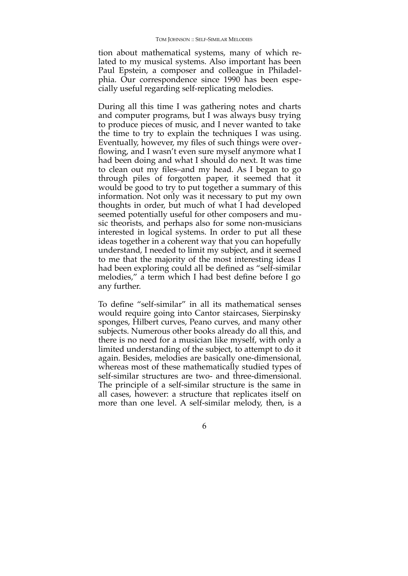tion about mathematical systems, many of which related to my musical systems. Also important has been Paul Epstein, a composer and colleague in Philadelphia. Our correspondence since 1990 has been especially useful regarding self-replicating melodies.

During all this time I was gathering notes and charts and computer programs, but I was always busy trying to produce pieces of music, and I never wanted to take the time to try to explain the techniques I was using. Eventually, however, my files of such things were overflowing, and I wasn't even sure myself anymore what I had been doing and what I should do next. It was time to clean out my files–and my head. As I began to go through piles of forgotten paper, it seemed that it would be good to try to put together a summary of this information. Not only was it necessary to put my own thoughts in order, but much of what I had developed seemed potentially useful for other composers and music theorists, and perhaps also for some non-musicians interested in logical systems. In order to put all these ideas together in a coherent way that you can hopefully understand, I needed to limit my subject, and it seemed to me that the majority of the most interesting ideas I had been exploring could all be defined as "self-similar melodies," a term which I had best define before I go any further.

To define "self-similar" in all its mathematical senses would require going into Cantor staircases, Sierpinsky sponges, Hilbert curves, Peano curves, and many other subjects. Numerous other books already do all this, and there is no need for a musician like myself, with only a limited understanding of the subject, to attempt to do it again. Besides, melodies are basically one-dimensional, whereas most of these mathematically studied types of self-similar structures are two- and three-dimensional. The principle of a self-similar structure is the same in all cases, however: a structure that replicates itself on more than one level. A self-similar melody, then, is a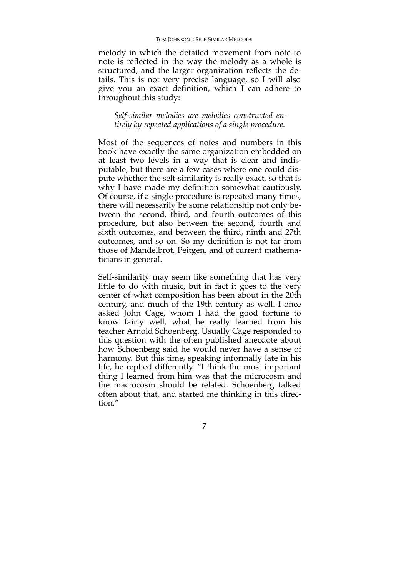melody in which the detailed movement from note to note is reflected in the way the melody as a whole is structured, and the larger organization reflects the details. This is not very precise language, so I will also give you an exact definition, which I can adhere to throughout this study:

*Self-similar melodies are melodies constructed entirely by repeated applications of a single procedure.*

Most of the sequences of notes and numbers in this book have exactly the same organization embedded on at least two levels in a way that is clear and indisputable, but there are a few cases where one could dispute whether the self-similarity is really exact, so that is why I have made my definition somewhat cautiously. Of course, if a single procedure is repeated many times, there will necessarily be some relationship not only between the second, third, and fourth outcomes of this procedure, but also between the second, fourth and sixth outcomes, and between the third, ninth and 27th outcomes, and so on. So my definition is not far from those of Mandelbrot, Peitgen, and of current mathematicians in general.

Self-similarity may seem like something that has very little to do with music, but in fact it goes to the very center of what composition has been about in the 20th century, and much of the 19th century as well. I once asked John Cage, whom I had the good fortune to know fairly well, what he really learned from his teacher Arnold Schoenberg. Usually Cage responded to this question with the often published anecdote about how Schoenberg said he would never have a sense of harmony. But this time, speaking informally late in his life, he replied differently. "I think the most important thing I learned from him was that the microcosm and the macrocosm should be related. Schoenberg talked often about that, and started me thinking in this direction."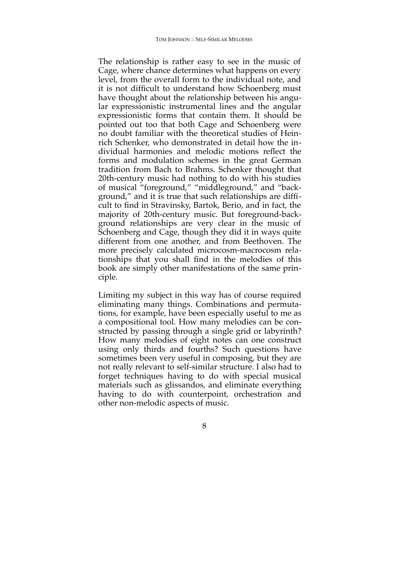The relationship is rather easy to see in the music of Cage, where chance determines what happens on every level, from the overall form to the individual note, and it is not difficult to understand how Schoenberg must have thought about the relationship between his angular expressionistic instrumental lines and the angular expressionistic forms that contain them. It should be pointed out too that both Cage and Schoenberg were no doubt familiar with the theoretical studies of Heinrich Schenker, who demonstrated in detail how the individual harmonies and melodic motions reflect the forms and modulation schemes in the great German tradition from Bach to Brahms. Schenker thought that 20th-century music had nothing to do with his studies of musical "foreground," "middleground," and "background," and it is true that such relationships are difficult to find in Stravinsky, Bartok, Berio, and in fact, the majority of 20th-century music. But foreground-background relationships are very clear in the music of Schoenberg and Cage, though they did it in ways quite different from one another, and from Beethoven. The more precisely calculated microcosm-macrocosm relationships that you shall find in the melodies of this book are simply other manifestations of the same principle.

Limiting my subject in this way has of course required eliminating many things. Combinations and permutations, for example, have been especially useful to me as a compositional tool. How many melodies can be constructed by passing through a single grid or labyrinth? How many melodies of eight notes can one construct using only thirds and fourths? Such questions have sometimes been very useful in composing, but they are not really relevant to self-similar structure. I also had to forget techniques having to do with special musical materials such as glissandos, and eliminate everything having to do with counterpoint, orchestration and other non-melodic aspects of music.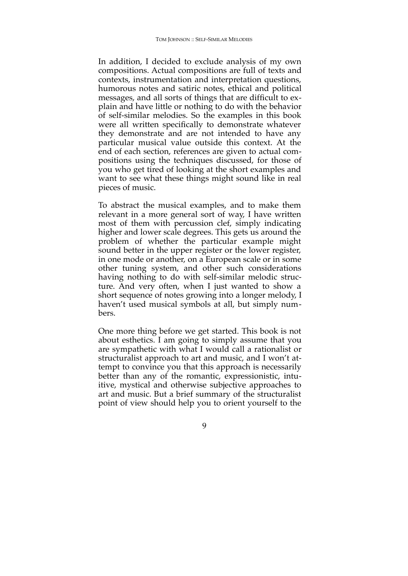In addition, I decided to exclude analysis of my own compositions. Actual compositions are full of texts and contexts, instrumentation and interpretation questions, humorous notes and satiric notes, ethical and political messages, and all sorts of things that are difficult to explain and have little or nothing to do with the behavior of self-similar melodies. So the examples in this book were all written specifically to demonstrate whatever they demonstrate and are not intended to have any particular musical value outside this context. At the end of each section, references are given to actual compositions using the techniques discussed, for those of you who get tired of looking at the short examples and want to see what these things might sound like in real pieces of music.

To abstract the musical examples, and to make them relevant in a more general sort of way, I have written most of them with percussion clef, simply indicating higher and lower scale degrees. This gets us around the problem of whether the particular example might sound better in the upper register or the lower register, in one mode or another, on a European scale or in some other tuning system, and other such considerations having nothing to do with self-similar melodic structure. And very often, when I just wanted to show a short sequence of notes growing into a longer melody, I haven't used musical symbols at all, but simply numbers.

One more thing before we get started. This book is not about esthetics. I am going to simply assume that you are sympathetic with what I would call a rationalist or structuralist approach to art and music, and I won't attempt to convince you that this approach is necessarily better than any of the romantic, expressionistic, intuitive, mystical and otherwise subjective approaches to art and music. But a brief summary of the structuralist point of view should help you to orient yourself to the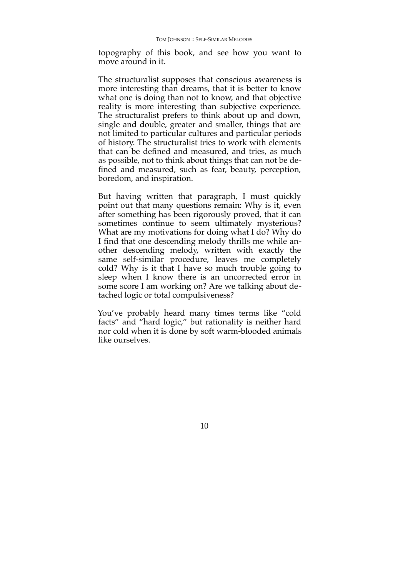topography of this book, and see how you want to move around in it.

The structuralist supposes that conscious awareness is more interesting than dreams, that it is better to know what one is doing than not to know, and that objective reality is more interesting than subjective experience. The structuralist prefers to think about up and down, single and double, greater and smaller, things that are not limited to particular cultures and particular periods of history. The structuralist tries to work with elements that can be defined and measured, and tries, as much as possible, not to think about things that can not be de fined and measured, such as fear, beauty, perception, boredom, and inspiration.

But having written that paragraph, I must quickly point out that many questions remain: Why is it, even after something has been rigorously proved, that it can sometimes continue to seem ultimately mysterious? What are my motivations for doing what I do? Why do I find that one descending melody thrills me while another descending melody, written with exactly the same self-similar procedure, leaves me completely cold? Why is it that I have so much trouble going to sleep when I know there is an uncorrected error in some score I am working on? Are we talking about detached logic or total compulsiveness?

You've probably heard many times terms like "cold facts" and "hard logic," but rationality is neither hard nor cold when it is done by soft warm-blooded animals like ourselves.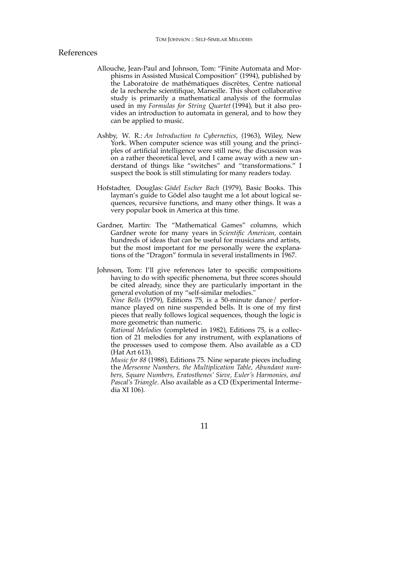## References

- Allouche, Jean-Paul and Johnson, Tom: "Finite Automata and Morphisms in Assisted Musical Composition" (1994), published by the Laboratoire de mathématiques discrètes, Centre national de la recherche scientifique, Marseille. This short collaborative study is primarily a mathematical analysis of the formulas used in my *Formulas for String Quartet* (1994), but it also provides an introduction to automata in general, and to how they can be applied to music.
- Ashby, W. R.: *An Introduction to Cybernetics*, (1963), Wiley, New York. When computer science was still young and the principles of artificial intelligence were still new, the discussion was on a rather theoretical level, and I came away with a new understand of things like "switches" and "transformations." I suspect the book is still stimulating for many readers today.
- Hofstadter, Douglas: *Gödel Escher Bach* (1979), Basic Books. This layman's guide to Gödel also taught me a lot about logical sequences, recursive functions, and many other things. It was a very popular book in America at this time.
- Gardner, Martin: The "Mathematical Games" columns, which Gardner wrote for many years in *Scientific American*, contain hundreds of ideas that can be useful for musicians and artists, but the most important for me personally were the explanations of the "Dragon" formula in several installments in 1967.
- Johnson, Tom: I'll give references later to specific compositions having to do with specific phenomena, but three scores should be cited already, since they are particularly important in the general evolution of my "self-similar melodies."

*Nine Bells* (1979), Editions 75, is a 50-minute dance/ performance played on nine suspended bells. It is one of my first pieces that really follows logical sequences, though the logic is more geometric than numeric.

*Rational Melodies* (completed in 1982), Editions 75, is a collection of 21 melodies for any instrument, with explanations of the processes used to compose them. Also available as a CD (Hat Art 613).

*Music for 88* (1988), Editions 75. Nine separate pieces including the *Mersenne Numbers, the Multiplication Table, Abundant numbers, Square Numbers, Eratosthenes' Sieve, Euler's Harmonies, and Pascal's Triangle*. Also available as a CD (Experimental Intermedia XI 106).